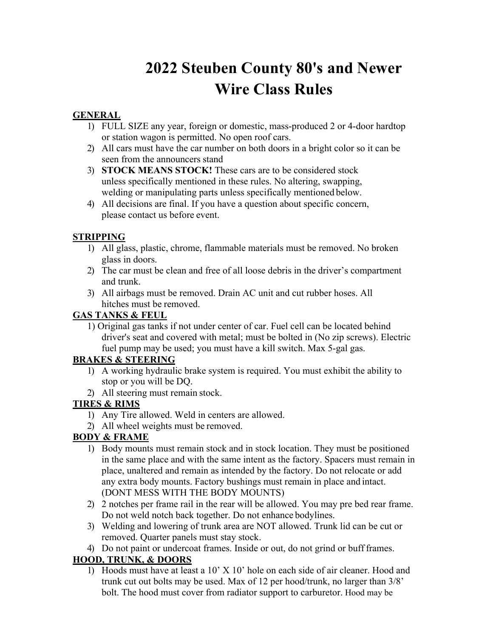# **2022 Steuben County 80's and Newer Wire Class Rules**

## **GENERAL**

- 1) FULL SIZE any year, foreign or domestic, mass-produced 2 or 4-door hardtop or station wagon is permitted. No open roof cars.
- 2) All cars must have the car number on both doors in a bright color so it can be seen from the announcers stand
- 3) **STOCK MEANS STOCK!** These cars are to be considered stock unless specifically mentioned in these rules. No altering, swapping, welding or manipulating parts unless specifically mentioned below.
- 4) All decisions are final. If you have a question about specific concern, please contact us before event.

#### **STRIPPING**

- 1) All glass, plastic, chrome, flammable materials must be removed. No broken glass in doors.
- 2) The car must be clean and free of all loose debris in the driver's compartment and trunk.
- 3) All airbags must be removed. Drain AC unit and cut rubber hoses. All hitches must be removed.

#### **GAS TANKS & FEUL**

1) Original gas tanks if not under center of car. Fuel cell can be located behind driver's seat and covered with metal; must be bolted in (No zip screws). Electric fuel pump may be used; you must have a kill switch. Max 5-gal gas.

## **BRAKES & STEERING**

- 1) A working hydraulic brake system is required. You must exhibit the ability to stop or you will be DQ.
- 2) All steering must remain stock.

## **TIRES & RIMS**

- 1) Any Tire allowed. Weld in centers are allowed.
- 2) All wheel weights must be removed.

## **BODY & FRAME**

- 1) Body mounts must remain stock and in stock location. They must be positioned in the same place and with the same intent as the factory. Spacers must remain in place, unaltered and remain as intended by the factory. Do not relocate or add any extra body mounts. Factory bushings must remain in place and intact. (DONT MESS WITH THE BODY MOUNTS)
- 2) 2 notches per frame rail in the rear will be allowed. You may pre bed rear frame. Do not weld notch back together. Do not enhance bodylines.
- 3) Welding and lowering of trunk area are NOT allowed. Trunk lid can be cut or removed. Quarter panels must stay stock.
- 4) Do not paint or undercoat frames. Inside or out, do not grind or buff frames.

## **HOOD, TRUNK, & DOORS**

1) Hoods must have at least a 10' X 10' hole on each side of air cleaner. Hood and trunk cut out bolts may be used. Max of 12 per hood/trunk, no larger than 3/8' bolt. The hood must cover from radiator support to carburetor. Hood may be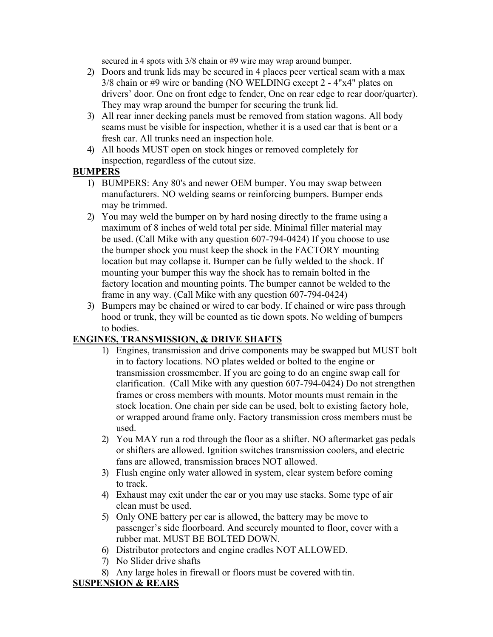secured in 4 spots with 3/8 chain or #9 wire may wrap around bumper.

- 2) Doors and trunk lids may be secured in 4 places peer vertical seam with a max 3/8 chain or #9 wire or banding (NO WELDING except 2 - 4"x4" plates on drivers' door. One on front edge to fender, One on rear edge to rear door/quarter). They may wrap around the bumper for securing the trunk lid.
- 3) All rear inner decking panels must be removed from station wagons. All body seams must be visible for inspection, whether it is a used car that is bent or a fresh car. All trunks need an inspection hole.
- 4) All hoods MUST open on stock hinges or removed completely for inspection, regardless of the cutout size.

#### **BUMPERS**

- 1) BUMPERS: Any 80's and newer OEM bumper. You may swap between manufacturers. NO welding seams or reinforcing bumpers. Bumper ends may be trimmed.
- 2) You may weld the bumper on by hard nosing directly to the frame using a maximum of 8 inches of weld total per side. Minimal filler material may be used. (Call Mike with any question 607-794-0424) If you choose to use the bumper shock you must keep the shock in the FACTORY mounting location but may collapse it. Bumper can be fully welded to the shock. If mounting your bumper this way the shock has to remain bolted in the factory location and mounting points. The bumper cannot be welded to the frame in any way. (Call Mike with any question 607-794-0424)
- 3) Bumpers may be chained or wired to car body. If chained or wire pass through hood or trunk, they will be counted as tie down spots. No welding of bumpers to bodies.

#### **ENGINES, TRANSMISSION, & DRIVE SHAFTS**

- 1) Engines, transmission and drive components may be swapped but MUST bolt in to factory locations. NO plates welded or bolted to the engine or transmission crossmember. If you are going to do an engine swap call for clarification. (Call Mike with any question 607-794-0424) Do not strengthen frames or cross members with mounts. Motor mounts must remain in the stock location. One chain per side can be used, bolt to existing factory hole, or wrapped around frame only. Factory transmission cross members must be used.
- 2) You MAY run a rod through the floor as a shifter. NO aftermarket gas pedals or shifters are allowed. Ignition switches transmission coolers, and electric fans are allowed, transmission braces NOT allowed.
- 3) Flush engine only water allowed in system, clear system before coming to track.
- 4) Exhaust may exit under the car or you may use stacks. Some type of air clean must be used.
- 5) Only ONE battery per car is allowed, the battery may be move to passenger's side floorboard. And securely mounted to floor, cover with a rubber mat. MUST BE BOLTED DOWN.
- 6) Distributor protectors and engine cradles NOT ALLOWED.
- 7) No Slider drive shafts
- 8) Any large holes in firewall or floors must be covered with tin.

## **SUSPENSION & REARS**